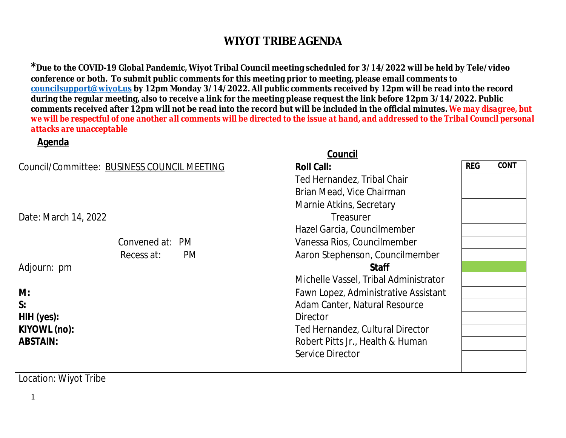$^{\ast}$ Due to the COVID-19 Global Pandemic, Wiyot Tribal Council meeting scheduled for 3/14/2022 will be l conference or both. To submit public comments for this meeting prior to meeting, please email commen **councilsupport@wiyot.us by 12pm Monday 3/14/2022. All public comments received by 12pm will be reading** during the regular meeting, also to receive a link for the meeting please request the link before 12pm 3/ comments received after 12pm will not be read into the record but will be included in the official minut *we will be respectful of one another all comments will be directed to the issue at hand, and addressed to the Tribal Council personal council personal council personal council personal council personal de response we will attacks are unacceptable*

#### **Agenda Council** (1999) and the contract of the council of the council of the council of the council of the council of the council of the council of the council of the council of the council of the council of the council of the c **Council/Committee: BUSINESS COUNCIL MEETING <b>Roll Call: Roll Call: Roll Call: Roll Call: Roll Call: Roll Call: Roll Call: Roll Call: Roll Call: Roll Call: Roll Call: Roll Call: Roll Call: Roll Ca** Ted Hernandez, Tribal Chair Brian Mead, Vice Chairman Marnie Atkins, Secretary Date: March 14, 2022 **Treasurer** Hazel Garcia, Councilmember Convened at: PM Vanessa Rios, Councilmember Recess at: PM Aaron Stephenson, Councilmember Adjourn: pm **Staff** Michelle Vassel, Tribal Administrator **M: S: HIH (yes): KIYOWL (no): ABSTAIN:** Fawn Lopez, Administrative Assista Adam Canter, Natural Resource **Director** Ted Hernandez, Cultural Director Robert Pitts Jr., Health & Human Service Director

Location: Wiyot Tribe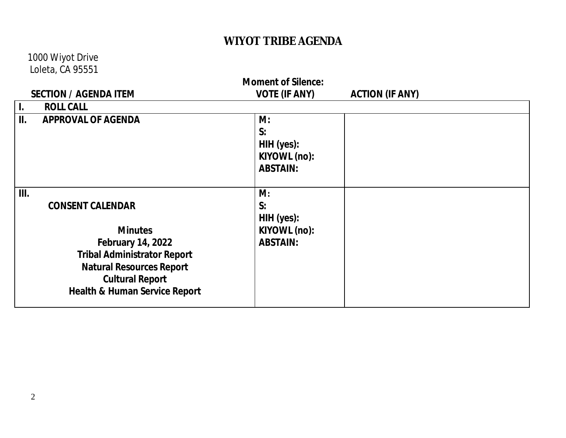#### 1000 Wiyot Drive Loleta, CA 95551

| <b>Moment of Silence:</b>    |                                                                                                                                                                                                                      |                                                           |                        |  |  |  |
|------------------------------|----------------------------------------------------------------------------------------------------------------------------------------------------------------------------------------------------------------------|-----------------------------------------------------------|------------------------|--|--|--|
| <b>SECTION / AGENDA ITEM</b> |                                                                                                                                                                                                                      | <b>VOTE (IF ANY)</b>                                      | <b>ACTION (IF ANY)</b> |  |  |  |
| $\mathbf{I}$ .               | <b>ROLL CALL</b>                                                                                                                                                                                                     |                                                           |                        |  |  |  |
| II.                          | <b>APPROVAL OF AGENDA</b>                                                                                                                                                                                            | M:<br>S:<br>HIH (yes):<br>KIYOWL (no):<br><b>ABSTAIN:</b> |                        |  |  |  |
| III.                         | <b>CONSENT CALENDAR</b><br><b>Minutes</b><br><b>February 14, 2022</b><br><b>Tribal Administrator Report</b><br><b>Natural Resources Report</b><br><b>Cultural Report</b><br><b>Health &amp; Human Service Report</b> | M:<br>S:<br>HIH (yes):<br>KIYOWL (no):<br><b>ABSTAIN:</b> |                        |  |  |  |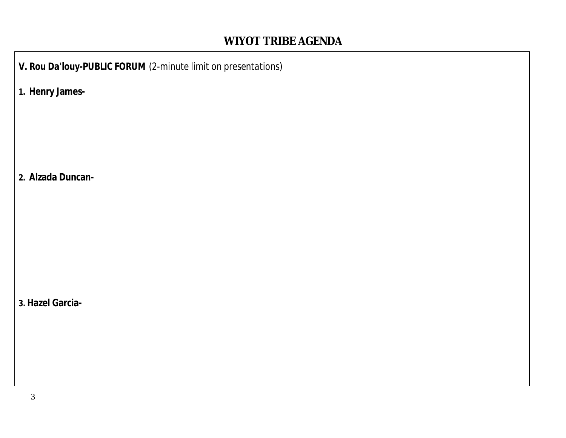*V. Rou Da'louy-PUBLIC FORUM (2-minute limit on presentations)*

**1. Henry James-**

**2. Alzada Duncan-**

**3. Hazel Garcia-**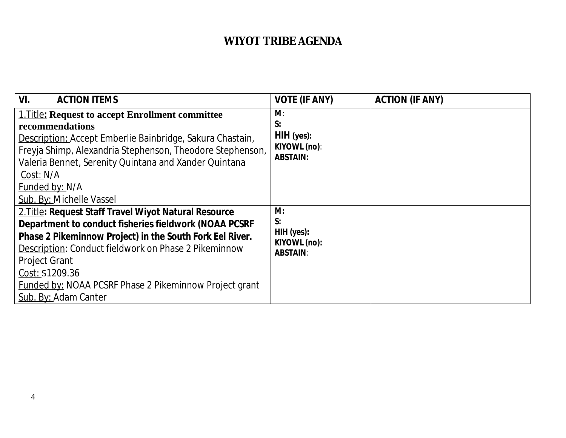| VI.<br><b>ACTION ITEMS</b>                                                                                                                                                                                                                                                                                                                                             | <b>VOTE (IF ANY)</b>                                       | <b>ACTION (IF ANY)</b> |
|------------------------------------------------------------------------------------------------------------------------------------------------------------------------------------------------------------------------------------------------------------------------------------------------------------------------------------------------------------------------|------------------------------------------------------------|------------------------|
| <b>1. Title: Request to accept Enrollment committee</b><br>recommendations<br>Description: Accept Emberlie Bainbridge, Sakura Chastain,<br>Freyja Shimp, Alexandria Stephenson, Theodore Stephenson,<br>Valeria Bennet, Serenity Quintana and Xander Quintana<br>Cost: N/A<br>Funded by: N/A<br>Sub. By: Michelle Vassel                                               | M:<br>S:<br>$HH$ (yes):<br>KIYOWL (no):<br><b>ABSTAIN:</b> |                        |
| 2. Title: Request Staff Travel Wiyot Natural Resource<br>Department to conduct fisheries fieldwork (NOAA PCSRF<br>Phase 2 Pikeminnow Project) in the South Fork Eel River.<br>Description: Conduct fieldwork on Phase 2 Pikeminnow<br><b>Project Grant</b><br>Cost: \$1209.36<br><b>Funded by: NOAA PCSRF Phase 2 Pikeminnow Project grant</b><br>Sub. By: Adam Canter | M:<br>S:<br>HIH (yes):<br>KIYOWL (no):<br><b>ABSTAIN:</b>  |                        |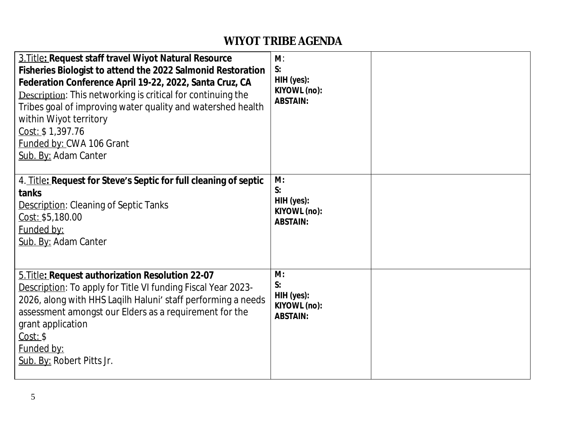| 3. Title: Request staff travel Wiyot Natural Resource<br>Fisheries Biologist to attend the 2022 Salmonid Restoration<br>Federation Conference April 19-22, 2022, Santa Cruz, CA<br><b>Description:</b> This networking is critical for continuing the<br>Tribes goal of improving water quality and watershed health<br>within Wiyot territory<br>Cost: \$1,397.76<br>Funded by: CWA 106 Grant<br>Sub. By: Adam Canter | $M$ :<br>S:<br>HIH (yes):<br>KIYOWL (no):<br><b>ABSTAIN:</b> |  |
|------------------------------------------------------------------------------------------------------------------------------------------------------------------------------------------------------------------------------------------------------------------------------------------------------------------------------------------------------------------------------------------------------------------------|--------------------------------------------------------------|--|
| 4. Title: Request for Steve's Septic for full cleaning of septic<br>tanks<br><b>Description: Cleaning of Septic Tanks</b><br>Cost: \$5,180.00<br>Funded by:<br>Sub. By: Adam Canter                                                                                                                                                                                                                                    | M:<br>S:<br>HIH (yes):<br>KIYOWL (no):<br><b>ABSTAIN:</b>    |  |
| 5. Title: Request authorization Resolution 22-07<br>Description: To apply for Title VI funding Fiscal Year 2023-<br>2026, along with HHS Lagilh Haluni' staff performing a needs<br>assessment amongst our Elders as a requirement for the<br>grant application<br>Cost: \$<br>Funded by:<br>Sub. By: Robert Pitts Jr.                                                                                                 | M:<br>S:<br>HIH (yes):<br>KIYOWL (no):<br><b>ABSTAIN:</b>    |  |